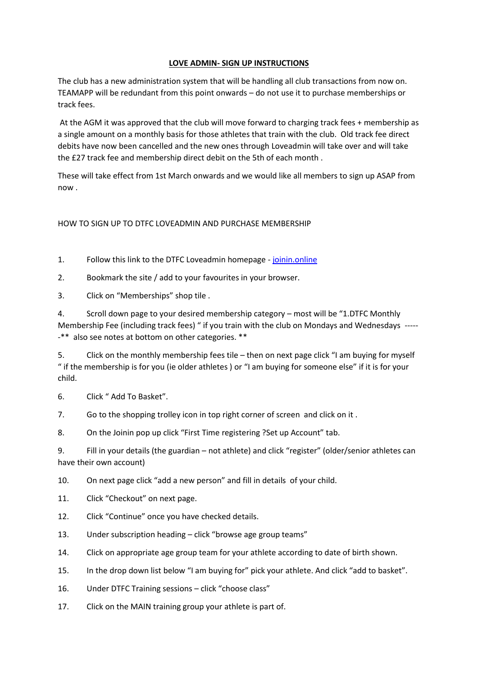## **LOVE ADMIN- SIGN UP INSTRUCTIONS**

The club has a new administration system that will be handling all club transactions from now on. TEAMAPP will be redundant from this point onwards – do not use it to purchase memberships or track fees.

At the AGM it was approved that the club will move forward to charging track fees + membership as a single amount on a monthly basis for those athletes that train with the club. Old track fee direct debits have now been cancelled and the new ones through Loveadmin will take over and will take the £27 track fee and membership direct debit on the 5th of each month .

These will take effect from 1st March onwards and we would like all members to sign up ASAP from now .

HOW TO SIGN UP TO DTFC LOVEADMIN AND PURCHASE MEMBERSHIP

- 1. Follow this link to the DTFC Loveadmin homepage [joinin.online](https://app.joinin.online/#/app/joinin/organisation/shop/9fd83a55-09e4-42cb-9f3d-bd480277356b)
- 2. Bookmark the site / add to your favourites in your browser.

3. Click on "Memberships" shop tile .

4. Scroll down page to your desired membership category – most will be "1.DTFC Monthly Membership Fee (including track fees) " if you train with the club on Mondays and Wednesdays ------\*\* also see notes at bottom on other categories. \*\*

5. Click on the monthly membership fees tile – then on next page click "I am buying for myself " if the membership is for you (ie older athletes ) or "I am buying for someone else" if it is for your child.

6. Click " Add To Basket".

7. Go to the shopping trolley icon in top right corner of screen and click on it .

8. On the Joinin pop up click "First Time registering ?Set up Account" tab.

9. Fill in your details (the guardian – not athlete) and click "register" (older/senior athletes can have their own account)

10. On next page click "add a new person" and fill in details of your child.

- 11. Click "Checkout" on next page.
- 12. Click "Continue" once you have checked details.
- 13. Under subscription heading click "browse age group teams"
- 14. Click on appropriate age group team for your athlete according to date of birth shown.
- 15. In the drop down list below "I am buying for" pick your athlete. And click "add to basket".
- 16. Under DTFC Training sessions click "choose class"
- 17. Click on the MAIN training group your athlete is part of.